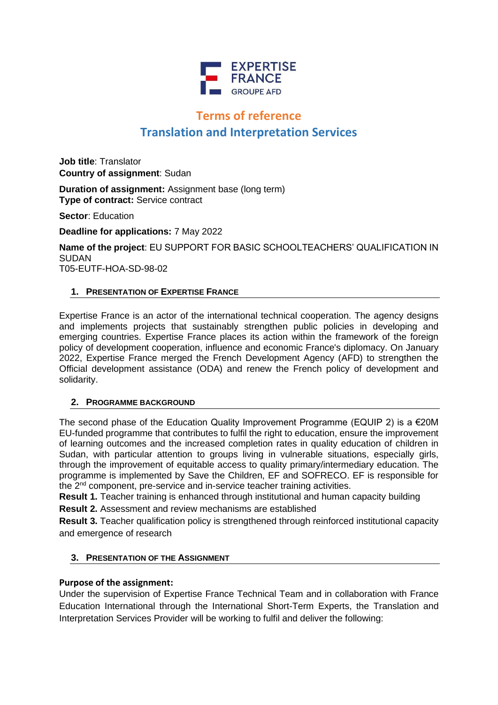

# **Terms of reference Translation and Interpretation Services**

**Job title**: Translator **Country of assignment**: Sudan

**Duration of assignment:** Assignment base (long term) **Type of contract:** Service contract

**Sector**: Education

**Deadline for applications:** 7 May 2022

**Name of the project**: EU SUPPORT FOR BASIC SCHOOLTEACHERS' QUALIFICATION IN SUDAN T05-EUTF-HOA-SD-98-02

## **1. PRESENTATION OF EXPERTISE FRANCE**

Expertise France is an actor of the international technical cooperation. The agency designs and implements projects that sustainably strengthen public policies in developing and emerging countries. Expertise France places its action within the framework of the foreign policy of development cooperation, influence and economic France's diplomacy. On January 2022, Expertise France merged the French Development Agency (AFD) to strengthen the Official development assistance (ODA) and renew the French policy of development and solidarity.

## **2. PROGRAMME BACKGROUND**

The second phase of the Education Quality Improvement Programme (EQUIP 2) is a  $E20M$ EU-funded programme that contributes to fulfil the right to education, ensure the improvement of learning outcomes and the increased completion rates in quality education of children in Sudan, with particular attention to groups living in vulnerable situations, especially girls, through the improvement of equitable access to quality primary/intermediary education. The programme is implemented by Save the Children, EF and SOFRECO. EF is responsible for the 2nd component, pre-service and in-service teacher training activities.

**Result 1.** Teacher training is enhanced through institutional and human capacity building

**Result 2.** Assessment and review mechanisms are established

**Result 3.** Teacher qualification policy is strengthened through reinforced institutional capacity and emergence of research

## **3. PRESENTATION OF THE ASSIGNMENT**

## **Purpose of the assignment:**

Under the supervision of Expertise France Technical Team and in collaboration with France Education International through the International Short-Term Experts, the Translation and Interpretation Services Provider will be working to fulfil and deliver the following: